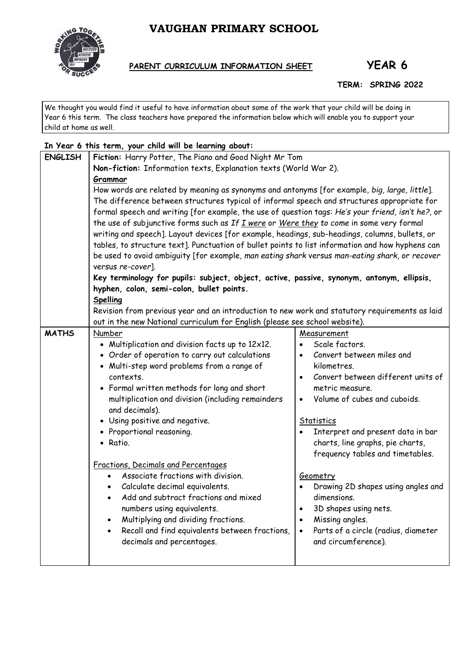# **VAUGHAN PRIMARY SCHOOL**



## **PARENT CURRICULUM INFORMATION SHEET YEAR 6**

#### **TERM: SPRING 2022**

We thought you would find it useful to have information about some of the work that your child will be doing in Year 6 this term. The class teachers have prepared the information below which will enable you to support your child at home as well.

| In Year 6 this term, your child will be learning about: |                                                                                                                                                                                             |                                                  |  |  |
|---------------------------------------------------------|---------------------------------------------------------------------------------------------------------------------------------------------------------------------------------------------|--------------------------------------------------|--|--|
| <b>ENGLISH</b>                                          | Fiction: Harry Potter, The Piano and Good Night Mr Tom                                                                                                                                      |                                                  |  |  |
|                                                         | Non-fiction: Information texts, Explanation texts (World War 2).                                                                                                                            |                                                  |  |  |
|                                                         | Grammar                                                                                                                                                                                     |                                                  |  |  |
|                                                         | How words are related by meaning as synonyms and antonyms [for example, big, large, little].<br>The difference between structures typical of informal speech and structures appropriate for |                                                  |  |  |
|                                                         |                                                                                                                                                                                             |                                                  |  |  |
|                                                         | formal speech and writing [for example, the use of question tags: He's your friend, isn't he?, or                                                                                           |                                                  |  |  |
|                                                         | the use of subjunctive forms such as If I were or Were they to come in some very formal                                                                                                     |                                                  |  |  |
|                                                         | writing and speech]. Layout devices [for example, headings, sub-headings, columns, bullets, or                                                                                              |                                                  |  |  |
|                                                         | tables, to structure text]. Punctuation of bullet points to list information and how hyphens can                                                                                            |                                                  |  |  |
|                                                         | be used to avoid ambiguity [for example, man eating shark versus man-eating shark, or recover                                                                                               |                                                  |  |  |
|                                                         | versus re-cover].                                                                                                                                                                           |                                                  |  |  |
|                                                         | Key terminology for pupils: subject, object, active, passive, synonym, antonym, ellipsis,                                                                                                   |                                                  |  |  |
|                                                         | hyphen, colon, semi-colon, bullet points.                                                                                                                                                   |                                                  |  |  |
|                                                         | Spelling                                                                                                                                                                                    |                                                  |  |  |
|                                                         | Revision from previous year and an introduction to new work and statutory requirements as laid                                                                                              |                                                  |  |  |
|                                                         | out in the new National curriculum for English (please see school website).                                                                                                                 |                                                  |  |  |
| <b>MATHS</b>                                            | Number                                                                                                                                                                                      | Measurement                                      |  |  |
|                                                         | • Multiplication and division facts up to 12x12.                                                                                                                                            | Scale factors.                                   |  |  |
|                                                         | • Order of operation to carry out calculations                                                                                                                                              | Convert between miles and<br>$\bullet$           |  |  |
|                                                         | • Multi-step word problems from a range of                                                                                                                                                  | kilometres.                                      |  |  |
|                                                         | contexts.                                                                                                                                                                                   | Convert between different units of<br>$\bullet$  |  |  |
|                                                         | • Formal written methods for long and short                                                                                                                                                 | metric measure.                                  |  |  |
|                                                         | multiplication and division (including remainders                                                                                                                                           | Volume of cubes and cuboids.<br>$\bullet$        |  |  |
|                                                         | and decimals).                                                                                                                                                                              |                                                  |  |  |
|                                                         | • Using positive and negative.                                                                                                                                                              | <b>Statistics</b>                                |  |  |
|                                                         | • Proportional reasoning.                                                                                                                                                                   | Interpret and present data in bar<br>$\bullet$   |  |  |
|                                                         | · Ratio.                                                                                                                                                                                    | charts, line graphs, pie charts,                 |  |  |
|                                                         |                                                                                                                                                                                             | frequency tables and timetables.                 |  |  |
|                                                         | Fractions, Decimals and Percentages                                                                                                                                                         |                                                  |  |  |
|                                                         | Associate fractions with division.                                                                                                                                                          | Geometry                                         |  |  |
|                                                         | Calculate decimal equivalents.                                                                                                                                                              | Drawing 2D shapes using angles and               |  |  |
|                                                         | Add and subtract fractions and mixed                                                                                                                                                        | dimensions.                                      |  |  |
|                                                         | numbers using equivalents.                                                                                                                                                                  | 3D shapes using nets.                            |  |  |
|                                                         | Multiplying and dividing fractions.                                                                                                                                                         | Missing angles.<br>$\bullet$                     |  |  |
|                                                         | Recall and find equivalents between fractions,                                                                                                                                              | Parts of a circle (radius, diameter<br>$\bullet$ |  |  |
|                                                         | decimals and percentages.                                                                                                                                                                   | and circumference).                              |  |  |
|                                                         |                                                                                                                                                                                             |                                                  |  |  |
|                                                         |                                                                                                                                                                                             |                                                  |  |  |